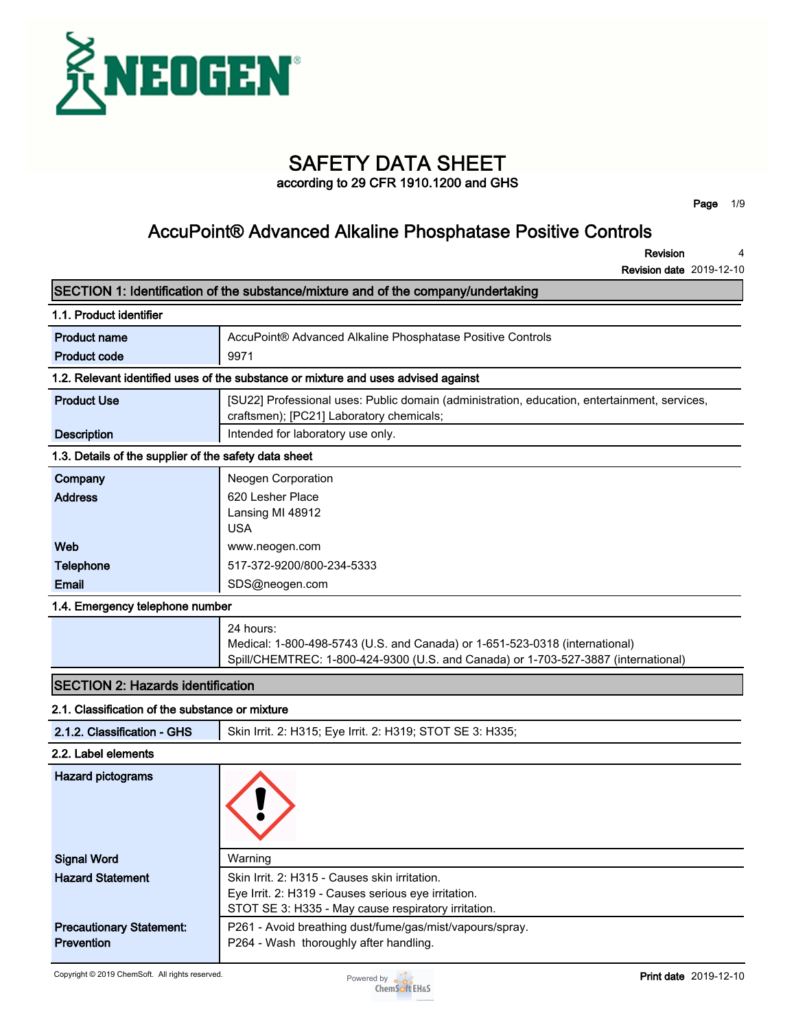

# **SAFETY DATA SHEET**

**according to 29 CFR 1910.1200 and GHS**

**Page 1/9**

### **AccuPoint® Advanced Alkaline Phosphatase Positive Controls**

**Revision 4**

| SECTION 1: Identification of the substance/mixture and of the company/undertaking |                                                                                                                                                                                |  |  |  |
|-----------------------------------------------------------------------------------|--------------------------------------------------------------------------------------------------------------------------------------------------------------------------------|--|--|--|
| 1.1. Product identifier                                                           |                                                                                                                                                                                |  |  |  |
| <b>Product name</b>                                                               | AccuPoint® Advanced Alkaline Phosphatase Positive Controls                                                                                                                     |  |  |  |
| <b>Product code</b>                                                               | 9971                                                                                                                                                                           |  |  |  |
|                                                                                   | 1.2. Relevant identified uses of the substance or mixture and uses advised against                                                                                             |  |  |  |
| <b>Product Use</b>                                                                | [SU22] Professional uses: Public domain (administration, education, entertainment, services,<br>craftsmen); [PC21] Laboratory chemicals;                                       |  |  |  |
| <b>Description</b>                                                                | Intended for laboratory use only.                                                                                                                                              |  |  |  |
| 1.3. Details of the supplier of the safety data sheet                             |                                                                                                                                                                                |  |  |  |
| Company                                                                           | Neogen Corporation                                                                                                                                                             |  |  |  |
| <b>Address</b>                                                                    | 620 Lesher Place<br>Lansing MI 48912<br><b>USA</b>                                                                                                                             |  |  |  |
| Web                                                                               | www.neogen.com                                                                                                                                                                 |  |  |  |
| <b>Telephone</b>                                                                  | 517-372-9200/800-234-5333                                                                                                                                                      |  |  |  |
| Email                                                                             | SDS@neogen.com                                                                                                                                                                 |  |  |  |
| 1.4. Emergency telephone number                                                   |                                                                                                                                                                                |  |  |  |
|                                                                                   | 24 hours:<br>Medical: 1-800-498-5743 (U.S. and Canada) or 1-651-523-0318 (international)<br>Spill/CHEMTREC: 1-800-424-9300 (U.S. and Canada) or 1-703-527-3887 (international) |  |  |  |
| <b>SECTION 2: Hazards identification</b>                                          |                                                                                                                                                                                |  |  |  |
| 2.1. Classification of the substance or mixture                                   |                                                                                                                                                                                |  |  |  |
| 2.1.2. Classification - GHS                                                       | Skin Irrit. 2: H315; Eye Irrit. 2: H319; STOT SE 3: H335;                                                                                                                      |  |  |  |
| 2.2. Label elements                                                               |                                                                                                                                                                                |  |  |  |
| <b>Hazard pictograms</b>                                                          |                                                                                                                                                                                |  |  |  |
| <b>Signal Word</b>                                                                | Warning                                                                                                                                                                        |  |  |  |
| <b>Hazard Statement</b>                                                           | Skin Irrit. 2: H315 - Causes skin irritation.<br>Eye Irrit. 2: H319 - Causes serious eye irritation.<br>STOT SE 3: H335 - May cause respiratory irritation.                    |  |  |  |
| <b>Precautionary Statement:</b><br>Prevention                                     | P261 - Avoid breathing dust/fume/gas/mist/vapours/spray.<br>P264 - Wash thoroughly after handling.                                                                             |  |  |  |

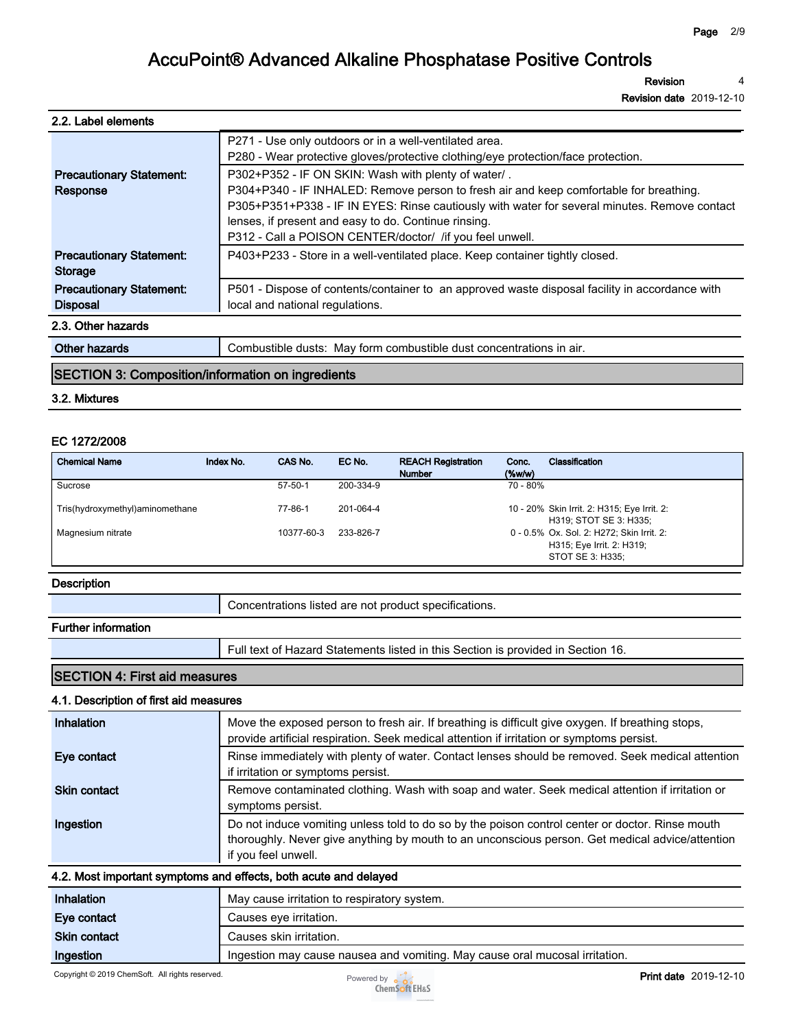**Revision 4**

**Revision date 2019-12-10**

| 2.2. Label elements |
|---------------------|
|---------------------|

|                                 | P271 - Use only outdoors or in a well-ventilated area.                                         |
|---------------------------------|------------------------------------------------------------------------------------------------|
|                                 | P280 - Wear protective gloves/protective clothing/eye protection/face protection.              |
| <b>Precautionary Statement:</b> | P302+P352 - IF ON SKIN: Wash with plenty of water/.                                            |
| Response                        | P304+P340 - IF INHALED: Remove person to fresh air and keep comfortable for breathing.         |
|                                 | P305+P351+P338 - IF IN EYES: Rinse cautiously with water for several minutes. Remove contact   |
|                                 | lenses, if present and easy to do. Continue rinsing.                                           |
|                                 | P312 - Call a POISON CENTER/doctor/ /if you feel unwell.                                       |
| <b>Precautionary Statement:</b> | P403+P233 - Store in a well-ventilated place. Keep container tightly closed.                   |
| Storage                         |                                                                                                |
| <b>Precautionary Statement:</b> | P501 - Dispose of contents/container to an approved waste disposal facility in accordance with |
| <b>Disposal</b>                 | local and national regulations.                                                                |
| 2.3. Other hazards              |                                                                                                |
|                                 |                                                                                                |

| Other<br>na.<br><b>CONTRACTOR</b> | ' concentrations in air.<br>ำbustible<br>∴or<br>combustible<br>dusts<br>Mav<br>⊤dust<br>TOrm |
|-----------------------------------|----------------------------------------------------------------------------------------------|
|                                   |                                                                                              |

### **SECTION 3: Composition/information on ingredients**

#### **3.2. Mixtures**

#### **EC 1272/2008**

| <b>Chemical Name</b>            | Index No. | CAS No.       | EC No.    | <b>REACH Registration</b><br><b>Number</b> | Conc.<br>$($ %w/w $)$ | Classification                                                                             |
|---------------------------------|-----------|---------------|-----------|--------------------------------------------|-----------------------|--------------------------------------------------------------------------------------------|
| Sucrose                         |           | $57 - 50 - 1$ | 200-334-9 |                                            | 70 - 80%              |                                                                                            |
| Tris(hydroxymethyl)aminomethane |           | 77-86-1       | 201-064-4 |                                            |                       | 10 - 20% Skin Irrit. 2: H315; Eye Irrit. 2:<br>H319: STOT SE 3: H335:                      |
| Magnesium nitrate               |           | 10377-60-3    | 233-826-7 |                                            |                       | 0 - 0.5% Ox. Sol. 2: H272; Skin Irrit. 2:<br>H315; Eye Irrit. 2: H319;<br>STOT SE 3: H335: |

#### **Description**

### **Further information**

**Full text of Hazard Statements listed in this Section is provided in Section 16.**

### **SECTION 4: First aid measures**

### **4.1. Description of first aid measures**

| Inhalation          | Move the exposed person to fresh air. If breathing is difficult give oxygen. If breathing stops,<br>provide artificial respiration. Seek medical attention if irritation or symptoms persist.                             |
|---------------------|---------------------------------------------------------------------------------------------------------------------------------------------------------------------------------------------------------------------------|
| Eye contact         | Rinse immediately with plenty of water. Contact lenses should be removed. Seek medical attention<br>if irritation or symptoms persist.                                                                                    |
| <b>Skin contact</b> | Remove contaminated clothing. Wash with soap and water. Seek medical attention if irritation or<br>symptoms persist.                                                                                                      |
| Ingestion           | Do not induce vomiting unless told to do so by the poison control center or doctor. Rinse mouth<br>thoroughly. Never give anything by mouth to an unconscious person. Get medical advice/attention<br>if you feel unwell. |

### **4.2. Most important symptoms and effects, both acute and delayed**

| Inhalation          | May cause irritation to respiratory system.                                 |  |
|---------------------|-----------------------------------------------------------------------------|--|
| Eve contact         | Causes eye irritation.                                                      |  |
| <b>Skin contact</b> | Causes skin irritation.                                                     |  |
| Ingestion           | Ingestion may cause nausea and vomiting. May cause oral mucosal irritation. |  |

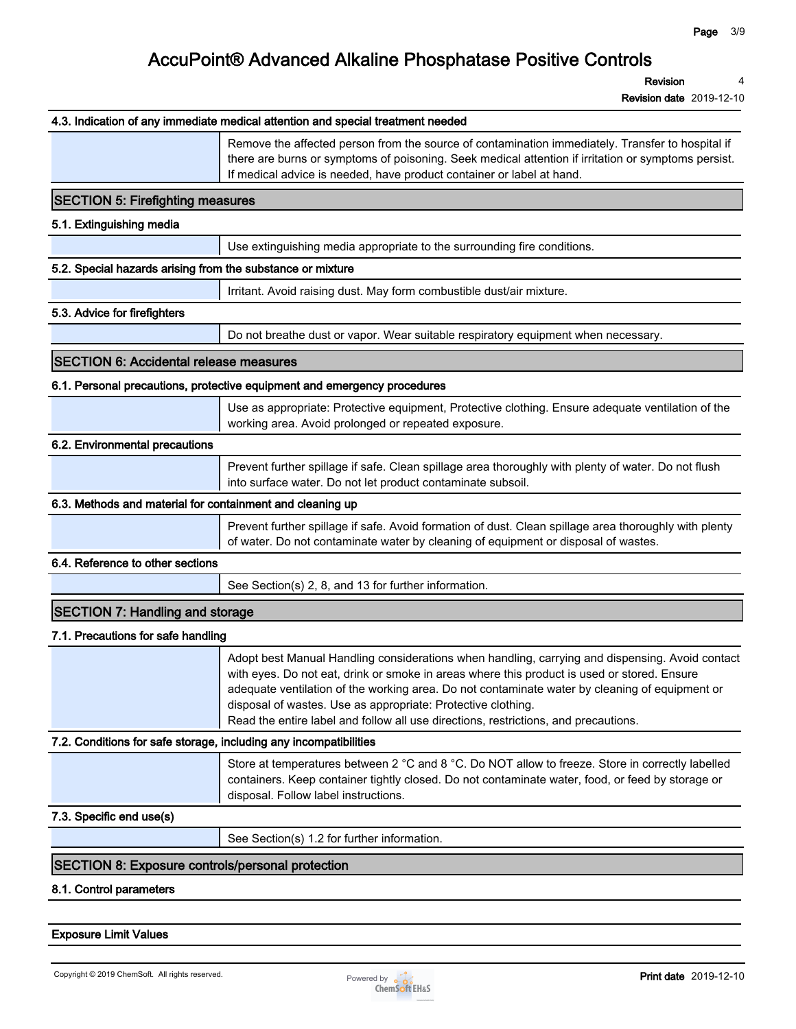**Revision 4**

**Revision date 2019-12-10**

|                                                                   | 4.3. Indication of any immediate medical attention and special treatment needed                                                                                                                                                                                                                                                                                                                                                                         |
|-------------------------------------------------------------------|---------------------------------------------------------------------------------------------------------------------------------------------------------------------------------------------------------------------------------------------------------------------------------------------------------------------------------------------------------------------------------------------------------------------------------------------------------|
|                                                                   | Remove the affected person from the source of contamination immediately. Transfer to hospital if<br>there are burns or symptoms of poisoning. Seek medical attention if irritation or symptoms persist.<br>If medical advice is needed, have product container or label at hand.                                                                                                                                                                        |
| <b>SECTION 5: Firefighting measures</b>                           |                                                                                                                                                                                                                                                                                                                                                                                                                                                         |
| 5.1. Extinguishing media                                          |                                                                                                                                                                                                                                                                                                                                                                                                                                                         |
|                                                                   | Use extinguishing media appropriate to the surrounding fire conditions.                                                                                                                                                                                                                                                                                                                                                                                 |
| 5.2. Special hazards arising from the substance or mixture        |                                                                                                                                                                                                                                                                                                                                                                                                                                                         |
|                                                                   | Irritant. Avoid raising dust. May form combustible dust/air mixture.                                                                                                                                                                                                                                                                                                                                                                                    |
| 5.3. Advice for firefighters                                      |                                                                                                                                                                                                                                                                                                                                                                                                                                                         |
|                                                                   | Do not breathe dust or vapor. Wear suitable respiratory equipment when necessary.                                                                                                                                                                                                                                                                                                                                                                       |
| <b>SECTION 6: Accidental release measures</b>                     |                                                                                                                                                                                                                                                                                                                                                                                                                                                         |
|                                                                   | 6.1. Personal precautions, protective equipment and emergency procedures                                                                                                                                                                                                                                                                                                                                                                                |
|                                                                   | Use as appropriate: Protective equipment, Protective clothing. Ensure adequate ventilation of the<br>working area. Avoid prolonged or repeated exposure.                                                                                                                                                                                                                                                                                                |
| 6.2. Environmental precautions                                    |                                                                                                                                                                                                                                                                                                                                                                                                                                                         |
|                                                                   | Prevent further spillage if safe. Clean spillage area thoroughly with plenty of water. Do not flush<br>into surface water. Do not let product contaminate subsoil.                                                                                                                                                                                                                                                                                      |
| 6.3. Methods and material for containment and cleaning up         |                                                                                                                                                                                                                                                                                                                                                                                                                                                         |
|                                                                   | Prevent further spillage if safe. Avoid formation of dust. Clean spillage area thoroughly with plenty<br>of water. Do not contaminate water by cleaning of equipment or disposal of wastes.                                                                                                                                                                                                                                                             |
| 6.4. Reference to other sections                                  |                                                                                                                                                                                                                                                                                                                                                                                                                                                         |
|                                                                   | See Section(s) 2, 8, and 13 for further information.                                                                                                                                                                                                                                                                                                                                                                                                    |
| <b>SECTION 7: Handling and storage</b>                            |                                                                                                                                                                                                                                                                                                                                                                                                                                                         |
| 7.1. Precautions for safe handling                                |                                                                                                                                                                                                                                                                                                                                                                                                                                                         |
|                                                                   | Adopt best Manual Handling considerations when handling, carrying and dispensing. Avoid contact<br>with eyes. Do not eat, drink or smoke in areas where this product is used or stored. Ensure<br>adequate ventilation of the working area. Do not contaminate water by cleaning of equipment or<br>disposal of wastes. Use as appropriate: Protective clothing.<br>Read the entire label and follow all use directions, restrictions, and precautions. |
| 7.2. Conditions for safe storage, including any incompatibilities |                                                                                                                                                                                                                                                                                                                                                                                                                                                         |
|                                                                   | Store at temperatures between 2 °C and 8 °C. Do NOT allow to freeze. Store in correctly labelled<br>containers. Keep container tightly closed. Do not contaminate water, food, or feed by storage or<br>disposal. Follow label instructions.                                                                                                                                                                                                            |
| 7.3. Specific end use(s)                                          |                                                                                                                                                                                                                                                                                                                                                                                                                                                         |
|                                                                   | See Section(s) 1.2 for further information.                                                                                                                                                                                                                                                                                                                                                                                                             |
| <b>SECTION 8: Exposure controls/personal protection</b>           |                                                                                                                                                                                                                                                                                                                                                                                                                                                         |
| 8.1. Control parameters                                           |                                                                                                                                                                                                                                                                                                                                                                                                                                                         |
|                                                                   |                                                                                                                                                                                                                                                                                                                                                                                                                                                         |

#### **Exposure Limit Values**

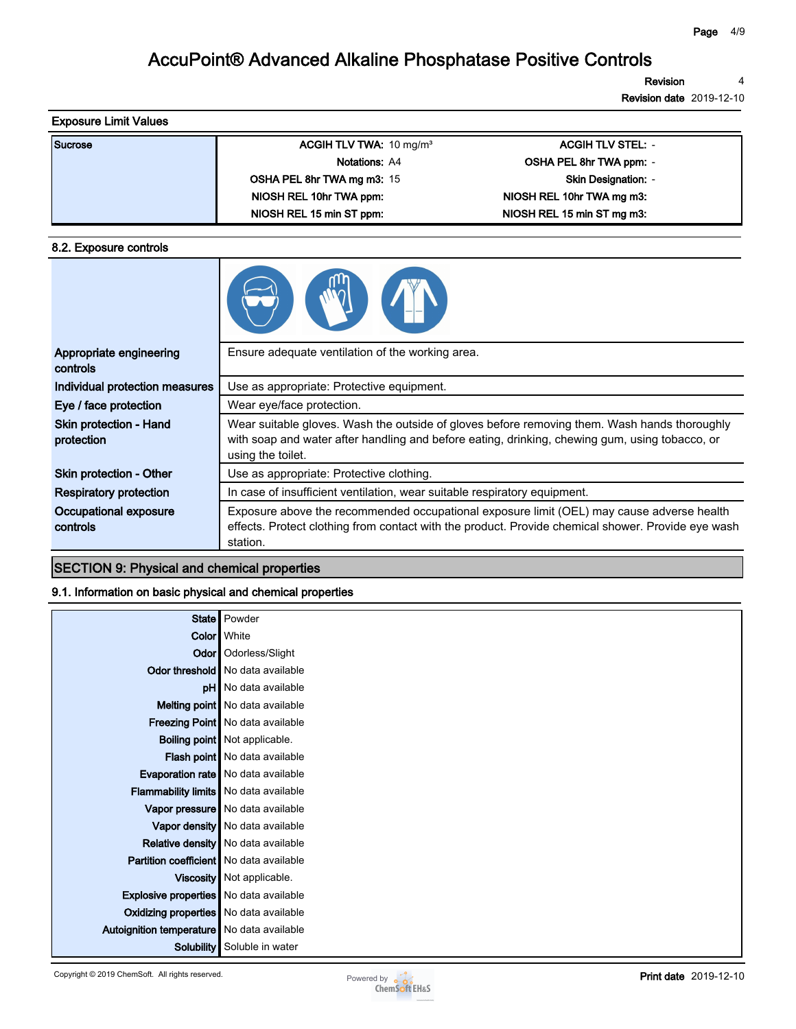**Revision 4**

**Revision date 2019-12-10**

| <b>Exposure Limit Values</b> |                                    |                            |  |
|------------------------------|------------------------------------|----------------------------|--|
| Sucrose                      | ACGIH TLV TWA: $10 \text{ mg/m}^3$ | <b>ACGIH TLV STEL: -</b>   |  |
|                              | <b>Notations: A4</b>               | OSHA PEL 8hr TWA ppm: -    |  |
|                              | <b>OSHA PEL 8hr TWA mg m3: 15</b>  | <b>Skin Designation: -</b> |  |
|                              | NIOSH REL 10hr TWA ppm:            | NIOSH REL 10hr TWA mg m3:  |  |
|                              | NIOSH REL 15 min ST ppm:           | NIOSH REL 15 min ST mg m3: |  |

#### **8.2. Exposure controls**

| Appropriate engineering<br>controls         | Ensure adequate ventilation of the working area.                                                                                                                                                                    |
|---------------------------------------------|---------------------------------------------------------------------------------------------------------------------------------------------------------------------------------------------------------------------|
| Individual protection measures              | Use as appropriate: Protective equipment.                                                                                                                                                                           |
| Eye / face protection                       | Wear eye/face protection.                                                                                                                                                                                           |
| <b>Skin protection - Hand</b><br>protection | Wear suitable gloves. Wash the outside of gloves before removing them. Wash hands thoroughly<br>with soap and water after handling and before eating, drinking, chewing gum, using tobacco, or<br>using the toilet. |
| <b>Skin protection - Other</b>              | Use as appropriate: Protective clothing.                                                                                                                                                                            |
| <b>Respiratory protection</b>               | In case of insufficient ventilation, wear suitable respiratory equipment.                                                                                                                                           |
| Occupational exposure<br>controls           | Exposure above the recommended occupational exposure limit (OEL) may cause adverse health<br>effects. Protect clothing from contact with the product. Provide chemical shower. Provide eye wash<br>station.         |

### **SECTION 9: Physical and chemical properties**

#### **9.1. Information on basic physical and chemical properties**

|                                               | State   Powder                          |
|-----------------------------------------------|-----------------------------------------|
|                                               | <b>Color</b> White                      |
|                                               | Odor   Odorless/Slight                  |
|                                               | <b>Odor threshold</b> No data available |
|                                               | pH   No data available                  |
|                                               | Melting point   No data available       |
|                                               | Freezing Point   No data available      |
|                                               | <b>Boiling point</b> Not applicable.    |
|                                               | Flash point   No data available         |
|                                               | Evaporation rate   No data available    |
| Flammability limits No data available         |                                         |
|                                               | Vapor pressure No data available        |
|                                               | Vapor density No data available         |
|                                               | Relative density   No data available    |
| Partition coefficient   No data available     |                                         |
|                                               | Viscosity   Not applicable.             |
| <b>Explosive properties</b> No data available |                                         |
| Oxidizing properties No data available        |                                         |
| Autoignition temperature   No data available  |                                         |
| Solubility                                    | Soluble in water                        |

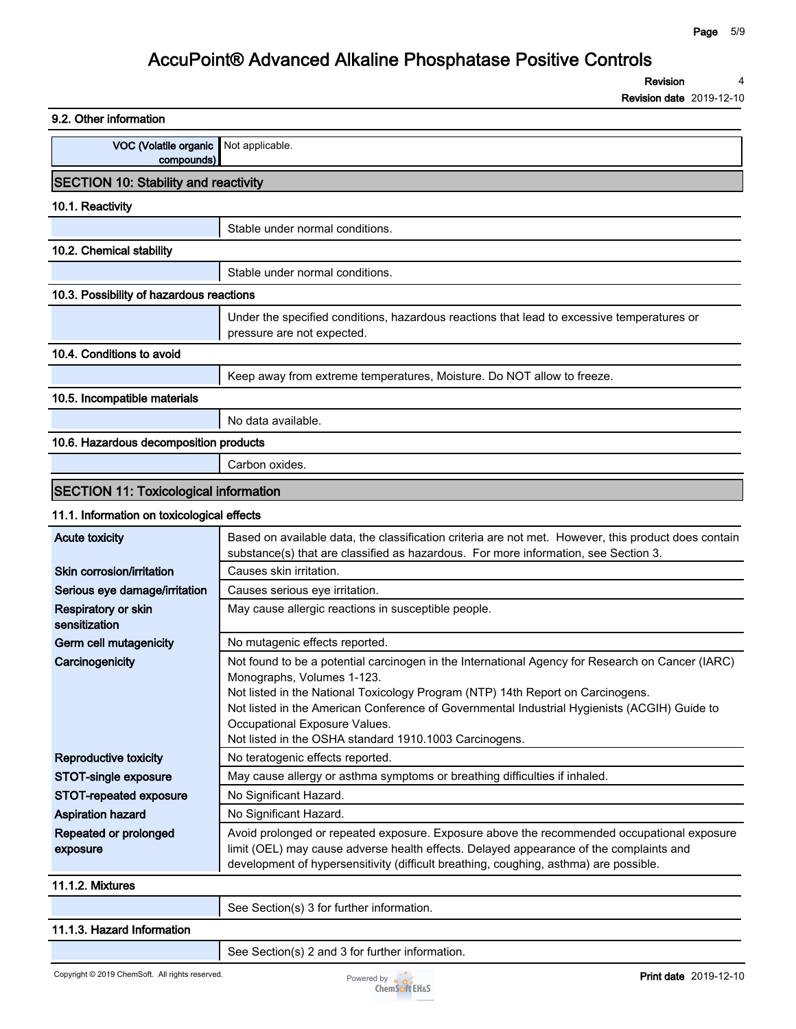**Revision 4**

| 9.2. Other information                                |                                                                                                                                                                                                                                                                                                                                                                                                              |
|-------------------------------------------------------|--------------------------------------------------------------------------------------------------------------------------------------------------------------------------------------------------------------------------------------------------------------------------------------------------------------------------------------------------------------------------------------------------------------|
| VOC (Volatile organic   Not applicable.<br>compounds) |                                                                                                                                                                                                                                                                                                                                                                                                              |
| <b>SECTION 10: Stability and reactivity</b>           |                                                                                                                                                                                                                                                                                                                                                                                                              |
| 10.1. Reactivity                                      |                                                                                                                                                                                                                                                                                                                                                                                                              |
|                                                       | Stable under normal conditions.                                                                                                                                                                                                                                                                                                                                                                              |
| 10.2. Chemical stability                              |                                                                                                                                                                                                                                                                                                                                                                                                              |
|                                                       | Stable under normal conditions.                                                                                                                                                                                                                                                                                                                                                                              |
| 10.3. Possibility of hazardous reactions              |                                                                                                                                                                                                                                                                                                                                                                                                              |
|                                                       | Under the specified conditions, hazardous reactions that lead to excessive temperatures or<br>pressure are not expected.                                                                                                                                                                                                                                                                                     |
| 10.4. Conditions to avoid                             |                                                                                                                                                                                                                                                                                                                                                                                                              |
|                                                       | Keep away from extreme temperatures, Moisture. Do NOT allow to freeze.                                                                                                                                                                                                                                                                                                                                       |
| 10.5. Incompatible materials                          |                                                                                                                                                                                                                                                                                                                                                                                                              |
|                                                       | No data available.                                                                                                                                                                                                                                                                                                                                                                                           |
| 10.6. Hazardous decomposition products                |                                                                                                                                                                                                                                                                                                                                                                                                              |
|                                                       | Carbon oxides.                                                                                                                                                                                                                                                                                                                                                                                               |
| <b>SECTION 11: Toxicological information</b>          |                                                                                                                                                                                                                                                                                                                                                                                                              |
| 11.1. Information on toxicological effects            |                                                                                                                                                                                                                                                                                                                                                                                                              |
| <b>Acute toxicity</b>                                 | Based on available data, the classification criteria are not met. However, this product does contain<br>substance(s) that are classified as hazardous. For more information, see Section 3.                                                                                                                                                                                                                  |
| Skin corrosion/irritation                             | Causes skin irritation.                                                                                                                                                                                                                                                                                                                                                                                      |
| Serious eye damage/irritation                         | Causes serious eye irritation.                                                                                                                                                                                                                                                                                                                                                                               |
| Respiratory or skin<br>sensitization                  | May cause allergic reactions in susceptible people.                                                                                                                                                                                                                                                                                                                                                          |
| Germ cell mutagenicity                                | No mutagenic effects reported.                                                                                                                                                                                                                                                                                                                                                                               |
| Carcinogenicity                                       | Not found to be a potential carcinogen in the International Agency for Research on Cancer (IARC)<br>Monographs, Volumes 1-123.<br>Not listed in the National Toxicology Program (NTP) 14th Report on Carcinogens.<br>Not listed in the American Conference of Governmental Industrial Hygienists (ACGIH) Guide to<br>Occupational Exposure Values.<br>Not listed in the OSHA standard 1910.1003 Carcinogens. |
| <b>Reproductive toxicity</b>                          | No teratogenic effects reported.                                                                                                                                                                                                                                                                                                                                                                             |
| STOT-single exposure                                  | May cause allergy or asthma symptoms or breathing difficulties if inhaled.                                                                                                                                                                                                                                                                                                                                   |
| STOT-repeated exposure                                | No Significant Hazard.                                                                                                                                                                                                                                                                                                                                                                                       |
| Aspiration hazard                                     | No Significant Hazard.                                                                                                                                                                                                                                                                                                                                                                                       |
| Repeated or prolonged<br>exposure                     | Avoid prolonged or repeated exposure. Exposure above the recommended occupational exposure<br>limit (OEL) may cause adverse health effects. Delayed appearance of the complaints and<br>development of hypersensitivity (difficult breathing, coughing, asthma) are possible.                                                                                                                                |
| 11.1.2. Mixtures                                      |                                                                                                                                                                                                                                                                                                                                                                                                              |
|                                                       | See Section(s) 3 for further information.                                                                                                                                                                                                                                                                                                                                                                    |
| 11.1.3. Hazard Information                            |                                                                                                                                                                                                                                                                                                                                                                                                              |
|                                                       |                                                                                                                                                                                                                                                                                                                                                                                                              |

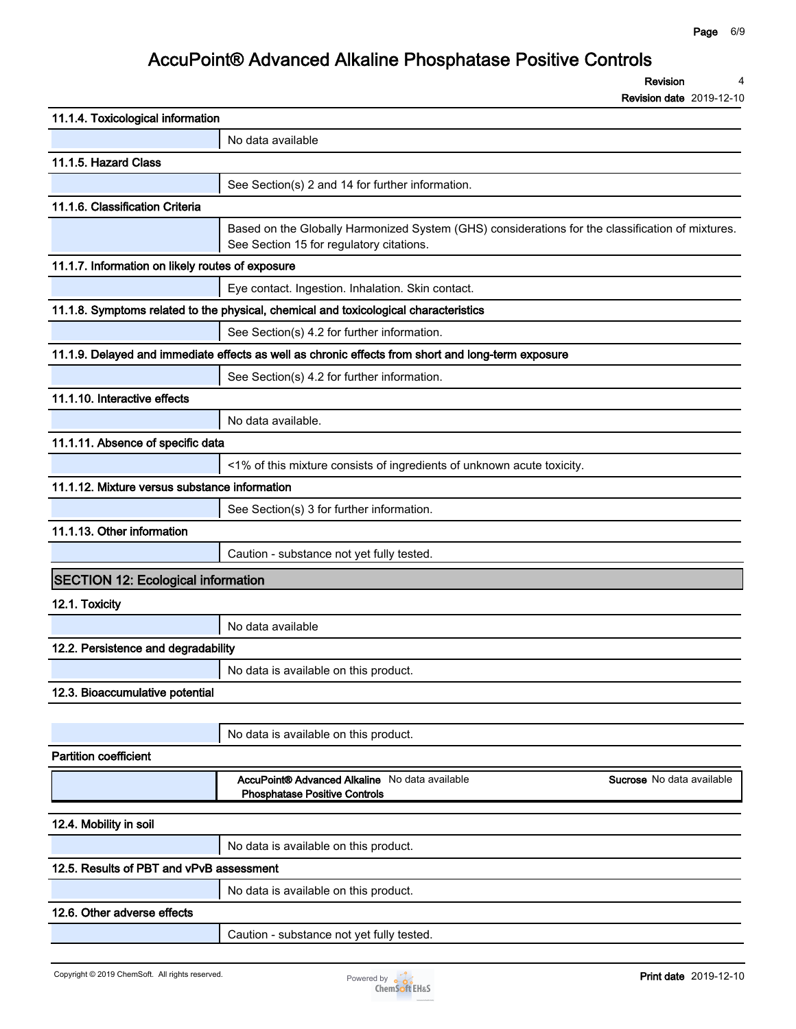**Revision 4**

| 11.1.4. Toxicological information                |                                                                                                                                              |
|--------------------------------------------------|----------------------------------------------------------------------------------------------------------------------------------------------|
|                                                  | No data available                                                                                                                            |
| 11.1.5. Hazard Class                             |                                                                                                                                              |
|                                                  | See Section(s) 2 and 14 for further information.                                                                                             |
| 11.1.6. Classification Criteria                  |                                                                                                                                              |
|                                                  | Based on the Globally Harmonized System (GHS) considerations for the classification of mixtures.<br>See Section 15 for regulatory citations. |
| 11.1.7. Information on likely routes of exposure |                                                                                                                                              |
|                                                  | Eye contact. Ingestion. Inhalation. Skin contact.                                                                                            |
|                                                  | 11.1.8. Symptoms related to the physical, chemical and toxicological characteristics                                                         |
|                                                  | See Section(s) 4.2 for further information.                                                                                                  |
|                                                  | 11.1.9. Delayed and immediate effects as well as chronic effects from short and long-term exposure                                           |
|                                                  | See Section(s) 4.2 for further information.                                                                                                  |
| 11.1.10. Interactive effects                     |                                                                                                                                              |
|                                                  | No data available.                                                                                                                           |
| 11.1.11. Absence of specific data                |                                                                                                                                              |
|                                                  | <1% of this mixture consists of ingredients of unknown acute toxicity.                                                                       |
| 11.1.12. Mixture versus substance information    |                                                                                                                                              |
|                                                  | See Section(s) 3 for further information.                                                                                                    |
| 11.1.13. Other information                       |                                                                                                                                              |
|                                                  | Caution - substance not yet fully tested.                                                                                                    |
| <b>SECTION 12: Ecological information</b>        |                                                                                                                                              |
| 12.1. Toxicity                                   |                                                                                                                                              |
|                                                  | No data available                                                                                                                            |
| 12.2. Persistence and degradability              |                                                                                                                                              |
|                                                  | No data is available on this product.                                                                                                        |
| 12.3. Bioaccumulative potential                  |                                                                                                                                              |
|                                                  |                                                                                                                                              |
|                                                  | No data is available on this product.                                                                                                        |
| <b>Partition coefficient</b>                     |                                                                                                                                              |
|                                                  | AccuPoint® Advanced Alkaline No data available<br><b>Sucrose</b> No data available<br><b>Phosphatase Positive Controls</b>                   |
| 12.4. Mobility in soil                           |                                                                                                                                              |
|                                                  | No data is available on this product.                                                                                                        |
| 12.5. Results of PBT and vPvB assessment         |                                                                                                                                              |
|                                                  | No data is available on this product.                                                                                                        |
| 12.6. Other adverse effects                      |                                                                                                                                              |
|                                                  | Caution - substance not yet fully tested.                                                                                                    |
|                                                  |                                                                                                                                              |

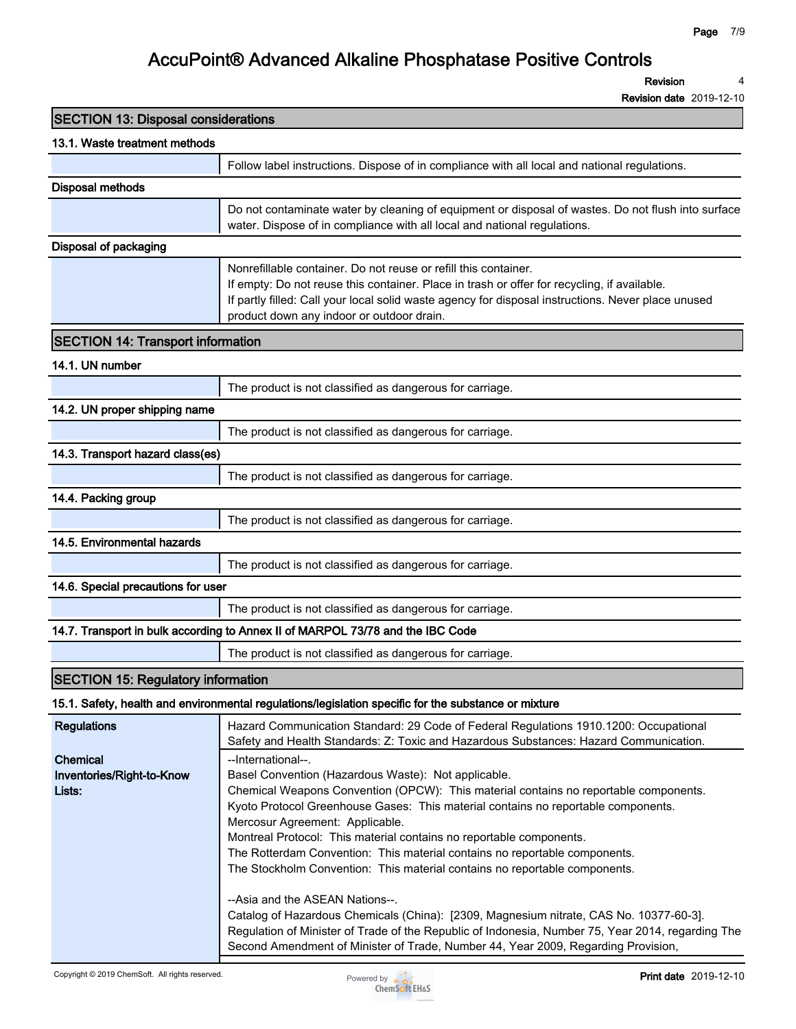**Revision 4**

**Revision date 2019-12-10**

| <b>SECTION 13: Disposal considerations</b>      |                                                                                                                                                                                                                                                                                                                   |
|-------------------------------------------------|-------------------------------------------------------------------------------------------------------------------------------------------------------------------------------------------------------------------------------------------------------------------------------------------------------------------|
| 13.1. Waste treatment methods                   |                                                                                                                                                                                                                                                                                                                   |
|                                                 | Follow label instructions. Dispose of in compliance with all local and national regulations.                                                                                                                                                                                                                      |
| <b>Disposal methods</b>                         |                                                                                                                                                                                                                                                                                                                   |
|                                                 | Do not contaminate water by cleaning of equipment or disposal of wastes. Do not flush into surface<br>water. Dispose of in compliance with all local and national regulations.                                                                                                                                    |
| <b>Disposal of packaging</b>                    |                                                                                                                                                                                                                                                                                                                   |
|                                                 | Nonrefillable container. Do not reuse or refill this container.<br>If empty: Do not reuse this container. Place in trash or offer for recycling, if available.<br>If partly filled: Call your local solid waste agency for disposal instructions. Never place unused<br>product down any indoor or outdoor drain. |
| <b>SECTION 14: Transport information</b>        |                                                                                                                                                                                                                                                                                                                   |
| 14.1. UN number                                 |                                                                                                                                                                                                                                                                                                                   |
|                                                 | The product is not classified as dangerous for carriage.                                                                                                                                                                                                                                                          |
| 14.2. UN proper shipping name                   |                                                                                                                                                                                                                                                                                                                   |
|                                                 | The product is not classified as dangerous for carriage.                                                                                                                                                                                                                                                          |
| 14.3. Transport hazard class(es)                |                                                                                                                                                                                                                                                                                                                   |
|                                                 | The product is not classified as dangerous for carriage.                                                                                                                                                                                                                                                          |
| 14.4. Packing group                             |                                                                                                                                                                                                                                                                                                                   |
|                                                 | The product is not classified as dangerous for carriage.                                                                                                                                                                                                                                                          |
| 14.5. Environmental hazards                     |                                                                                                                                                                                                                                                                                                                   |
|                                                 | The product is not classified as dangerous for carriage.                                                                                                                                                                                                                                                          |
| 14.6. Special precautions for user              |                                                                                                                                                                                                                                                                                                                   |
|                                                 | The product is not classified as dangerous for carriage.                                                                                                                                                                                                                                                          |
|                                                 | 14.7. Transport in bulk according to Annex II of MARPOL 73/78 and the IBC Code                                                                                                                                                                                                                                    |
|                                                 | The product is not classified as dangerous for carriage.                                                                                                                                                                                                                                                          |
| <b>SECTION 15: Regulatory information</b>       |                                                                                                                                                                                                                                                                                                                   |
|                                                 | 15.1. Safety, health and environmental regulations/legislation specific for the substance or mixture                                                                                                                                                                                                              |
| <b>Regulations</b>                              | Hazard Communication Standard: 29 Code of Federal Regulations 1910.1200: Occupational<br>Safety and Health Standards: Z: Toxic and Hazardous Substances: Hazard Communication.                                                                                                                                    |
| Chemical<br>Inventories/Right-to-Know<br>Lists: | --International--.<br>Basel Convention (Hazardous Waste): Not applicable.<br>Chemical Weapons Convention (OPCW): This material contains no reportable components.<br>Kyoto Protocol Greenhouse Gases: This material contains no reportable components.                                                            |



**Montreal Protocol: This material contains no reportable components.**

**The Rotterdam Convention: This material contains no reportable components. The Stockholm Convention: This material contains no reportable components.**

**Catalog of Hazardous Chemicals (China): [2309, Magnesium nitrate, CAS No. 10377-60-3]. Regulation of Minister of Trade of the Republic of Indonesia, Number 75, Year 2014, regarding The** 

**Mercosur Agreement: Applicable.**

**--Asia and the ASEAN Nations--.**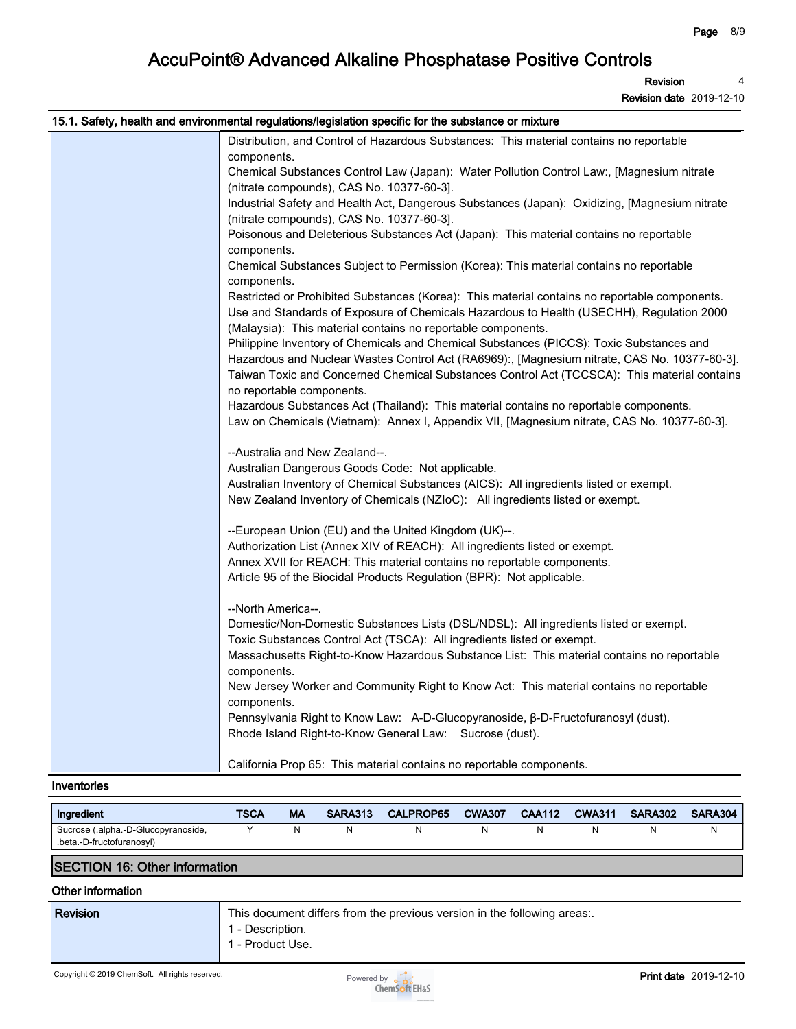**Revision 4**

**Revision date 2019-12-10**

| 15.1. Safety, health and environmental regulations/legislation specific for the substance or mixture                                                    |
|---------------------------------------------------------------------------------------------------------------------------------------------------------|
| Distribution, and Control of Hazardous Substances: This material contains no reportable                                                                 |
| components.                                                                                                                                             |
| Chemical Substances Control Law (Japan): Water Pollution Control Law:, [Magnesium nitrate                                                               |
| (nitrate compounds), CAS No. 10377-60-3].                                                                                                               |
| Industrial Safety and Health Act, Dangerous Substances (Japan): Oxidizing, [Magnesium nitrate                                                           |
| (nitrate compounds), CAS No. 10377-60-3].                                                                                                               |
| Poisonous and Deleterious Substances Act (Japan): This material contains no reportable                                                                  |
| components.                                                                                                                                             |
| Chemical Substances Subject to Permission (Korea): This material contains no reportable                                                                 |
| components.                                                                                                                                             |
| Restricted or Prohibited Substances (Korea): This material contains no reportable components.                                                           |
| Use and Standards of Exposure of Chemicals Hazardous to Health (USECHH), Regulation 2000                                                                |
| (Malaysia): This material contains no reportable components.<br>Philippine Inventory of Chemicals and Chemical Substances (PICCS): Toxic Substances and |
| Hazardous and Nuclear Wastes Control Act (RA6969):, [Magnesium nitrate, CAS No. 10377-60-3].                                                            |
| Taiwan Toxic and Concerned Chemical Substances Control Act (TCCSCA): This material contains                                                             |
| no reportable components.                                                                                                                               |
| Hazardous Substances Act (Thailand): This material contains no reportable components.                                                                   |
| Law on Chemicals (Vietnam): Annex I, Appendix VII, [Magnesium nitrate, CAS No. 10377-60-3].                                                             |
|                                                                                                                                                         |
| --Australia and New Zealand--.                                                                                                                          |
| Australian Dangerous Goods Code: Not applicable.                                                                                                        |
| Australian Inventory of Chemical Substances (AICS): All ingredients listed or exempt.                                                                   |
| New Zealand Inventory of Chemicals (NZIoC): All ingredients listed or exempt.                                                                           |
|                                                                                                                                                         |
| --European Union (EU) and the United Kingdom (UK)--.                                                                                                    |
| Authorization List (Annex XIV of REACH): All ingredients listed or exempt.                                                                              |
| Annex XVII for REACH: This material contains no reportable components.                                                                                  |
| Article 95 of the Biocidal Products Regulation (BPR): Not applicable.                                                                                   |
|                                                                                                                                                         |
| --North America--.                                                                                                                                      |
| Domestic/Non-Domestic Substances Lists (DSL/NDSL): All ingredients listed or exempt.                                                                    |
| Toxic Substances Control Act (TSCA): All ingredients listed or exempt.                                                                                  |
| Massachusetts Right-to-Know Hazardous Substance List: This material contains no reportable                                                              |
| components.                                                                                                                                             |
| New Jersey Worker and Community Right to Know Act: This material contains no reportable                                                                 |
| components.                                                                                                                                             |
| Pennsylvania Right to Know Law: A-D-Glucopyranoside, β-D-Fructofuranosyl (dust).                                                                        |
| Rhode Island Right-to-Know General Law: Sucrose (dust).                                                                                                 |
| California Prop 65: This material contains no reportable components.                                                                                    |
|                                                                                                                                                         |

#### **Inventories**

| Ingredient                          | TSCA | МA | <b>SARA313</b> | <b>CALPROP65</b> | <b>CWA307</b> | <b>CAA112</b> | <b>CWA311</b> | <b>SARA302</b> | <b>SARA304</b> |
|-------------------------------------|------|----|----------------|------------------|---------------|---------------|---------------|----------------|----------------|
| Sucrose (.alpha.-D-Glucopyranoside, |      |    |                |                  |               |               |               |                |                |
| .beta.-D-fructofuranosyl)           |      |    |                |                  |               |               |               |                |                |

### **SECTION 16: Other information**

### **Other information**

| <b>Revision</b>                                 | This document differs from the previous version in the following areas:<br>1 - Description.<br>1 - Product Use. |                              |
|-------------------------------------------------|-----------------------------------------------------------------------------------------------------------------|------------------------------|
| Copyright © 2019 ChemSoft. All rights reserved. | Powered by $\sim$<br>ChemSoft EH&S                                                                              | <b>Print date</b> 2019-12-10 |